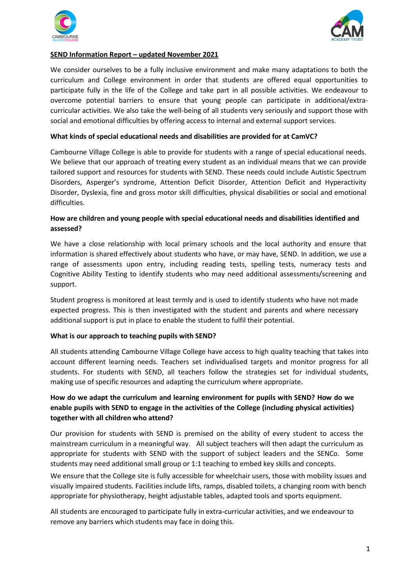



## **SEND Information Report – updated November 2021**

We consider ourselves to be a fully inclusive environment and make many adaptations to both the curriculum and College environment in order that students are offered equal opportunities to participate fully in the life of the College and take part in all possible activities. We endeavour to overcome potential barriers to ensure that young people can participate in additional/extracurricular activities. We also take the well-being of all students very seriously and support those with social and emotional difficulties by offering access to internal and external support services.

### **What kinds of special educational needs and disabilities are provided for at CamVC?**

Cambourne Village College is able to provide for students with a range of special educational needs. We believe that our approach of treating every student as an individual means that we can provide tailored support and resources for students with SEND. These needs could include Autistic Spectrum Disorders, Asperger's syndrome, Attention Deficit Disorder, Attention Deficit and Hyperactivity Disorder, Dyslexia, fine and gross motor skill difficulties, physical disabilities or social and emotional difficulties.

## **How are children and young people with special educational needs and disabilities identified and assessed?**

We have a close relationship with local primary schools and the local authority and ensure that information is shared effectively about students who have, or may have, SEND. In addition, we use a range of assessments upon entry, including reading tests, spelling tests, numeracy tests and Cognitive Ability Testing to identify students who may need additional assessments/screening and support.

Student progress is monitored at least termly and is used to identify students who have not made expected progress. This is then investigated with the student and parents and where necessary additional support is put in place to enable the student to fulfil their potential.

### **What is our approach to teaching pupils with SEND?**

All students attending Cambourne Village College have access to high quality teaching that takes into account different learning needs. Teachers set individualised targets and monitor progress for all students. For students with SEND, all teachers follow the strategies set for individual students, making use of specific resources and adapting the curriculum where appropriate.

# **How do we adapt the curriculum and learning environment for pupils with SEND? How do we enable pupils with SEND to engage in the activities of the College (including physical activities) together with all children who attend?**

Our provision for students with SEND is premised on the ability of every student to access the mainstream curriculum in a meaningful way. All subject teachers will then adapt the curriculum as appropriate for students with SEND with the support of subject leaders and the SENCo. Some students may need additional small group or 1:1 teaching to embed key skills and concepts.

We ensure that the College site is fully accessible for wheelchair users, those with mobility issues and visually impaired students. Facilities include lifts, ramps, disabled toilets, a changing room with bench appropriate for physiotherapy, height adjustable tables, adapted tools and sports equipment.

All students are encouraged to participate fully in extra-curricular activities, and we endeavour to remove any barriers which students may face in doing this.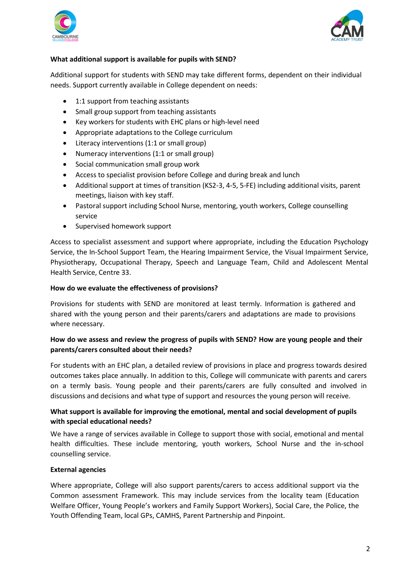



### **What additional support is available for pupils with SEND?**

Additional support for students with SEND may take different forms, dependent on their individual needs. Support currently available in College dependent on needs:

- 1:1 support from teaching assistants
- Small group support from teaching assistants
- Key workers for students with EHC plans or high-level need
- Appropriate adaptations to the College curriculum
- Literacy interventions (1:1 or small group)
- Numeracy interventions (1:1 or small group)
- Social communication small group work
- Access to specialist provision before College and during break and lunch
- Additional support at times of transition (KS2-3, 4-5, 5-FE) including additional visits, parent meetings, liaison with key staff.
- Pastoral support including School Nurse, mentoring, youth workers, College counselling service
- Supervised homework support

Access to specialist assessment and support where appropriate, including the Education Psychology Service, the In-School Support Team, the Hearing Impairment Service, the Visual Impairment Service, Physiotherapy, Occupational Therapy, Speech and Language Team, Child and Adolescent Mental Health Service, Centre 33.

#### **How do we evaluate the effectiveness of provisions?**

Provisions for students with SEND are monitored at least termly. Information is gathered and shared with the young person and their parents/carers and adaptations are made to provisions where necessary.

# **How do we assess and review the progress of pupils with SEND? How are young people and their parents/carers consulted about their needs?**

For students with an EHC plan, a detailed review of provisions in place and progress towards desired outcomes takes place annually. In addition to this, College will communicate with parents and carers on a termly basis. Young people and their parents/carers are fully consulted and involved in discussions and decisions and what type of support and resources the young person will receive.

# **What support is available for improving the emotional, mental and social development of pupils with special educational needs?**

We have a range of services available in College to support those with social, emotional and mental health difficulties. These include mentoring, youth workers, School Nurse and the in-school counselling service.

### **External agencies**

Where appropriate, College will also support parents/carers to access additional support via the Common assessment Framework. This may include services from the locality team (Education Welfare Officer, Young People's workers and Family Support Workers), Social Care, the Police, the Youth Offending Team, local GPs, CAMHS, Parent Partnership and Pinpoint.